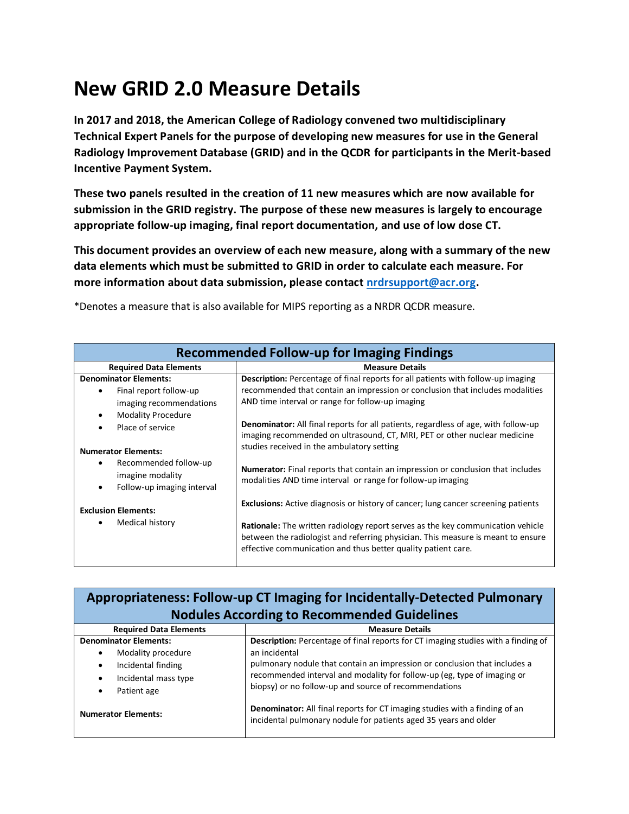## **New GRID 2.0 Measure Details**

**In 2017 and 2018, the American College of Radiology convened two multidisciplinary Technical Expert Panels for the purpose of developing new measures for use in the General Radiology Improvement Database (GRID) and in the QCDR for participants in the Merit-based Incentive Payment System.**

**These two panels resulted in the creation of 11 new measures which are now available for submission in the GRID registry. The purpose of these new measures is largely to encourage appropriate follow-up imaging, final report documentation, and use of low dose CT.**

**This document provides an overview of each new measure, along with a summary of the new data elements which must be submitted to GRID in order to calculate each measure. For more information about data submission, please contact [nrdrsupport@acr.org.](mailto:nrdrsupport@acr.org)** 

| <b>Recommended Follow-up for Imaging Findings</b>                                                          |                                                                                                                                                                                                                                                                                                                                         |
|------------------------------------------------------------------------------------------------------------|-----------------------------------------------------------------------------------------------------------------------------------------------------------------------------------------------------------------------------------------------------------------------------------------------------------------------------------------|
| <b>Required Data Elements</b>                                                                              | <b>Measure Details</b>                                                                                                                                                                                                                                                                                                                  |
| <b>Denominator Elements:</b><br>Final report follow-up<br>imaging recommendations                          | <b>Description:</b> Percentage of final reports for all patients with follow-up imaging<br>recommended that contain an impression or conclusion that includes modalities<br>AND time interval or range for follow-up imaging                                                                                                            |
| <b>Modality Procedure</b><br>$\bullet$<br>Place of service<br>$\bullet$                                    | <b>Denominator:</b> All final reports for all patients, regardless of age, with follow-up<br>imaging recommended on ultrasound, CT, MRI, PET or other nuclear medicine<br>studies received in the ambulatory setting                                                                                                                    |
| <b>Numerator Elements:</b><br>Recommended follow-up<br>imagine modality<br>Follow-up imaging interval<br>٠ | <b>Numerator:</b> Final reports that contain an impression or conclusion that includes<br>modalities AND time interval or range for follow-up imaging                                                                                                                                                                                   |
| <b>Exclusion Elements:</b><br>Medical history<br>٠                                                         | <b>Exclusions:</b> Active diagnosis or history of cancer; lung cancer screening patients<br><b>Rationale:</b> The written radiology report serves as the key communication vehicle<br>between the radiologist and referring physician. This measure is meant to ensure<br>effective communication and thus better quality patient care. |

\*Denotes a measure that is also available for MIPS reporting as a NRDR QCDR measure.

| <b>Appropriateness: Follow-up CT Imaging for Incidentally-Detected Pulmonary</b><br><b>Nodules According to Recommended Guidelines</b> |                                                                                                                                                                                                                                                                                                                     |
|----------------------------------------------------------------------------------------------------------------------------------------|---------------------------------------------------------------------------------------------------------------------------------------------------------------------------------------------------------------------------------------------------------------------------------------------------------------------|
| <b>Required Data Elements</b>                                                                                                          | <b>Measure Details</b>                                                                                                                                                                                                                                                                                              |
| <b>Denominator Elements:</b><br>Modality procedure<br>Incidental finding<br>Incidental mass type<br>Patient age                        | Description: Percentage of final reports for CT imaging studies with a finding of<br>an incidental<br>pulmonary nodule that contain an impression or conclusion that includes a<br>recommended interval and modality for follow-up (eg, type of imaging or<br>biopsy) or no follow-up and source of recommendations |
| <b>Numerator Elements:</b>                                                                                                             | <b>Denominator:</b> All final reports for CT imaging studies with a finding of an<br>incidental pulmonary nodule for patients aged 35 years and older                                                                                                                                                               |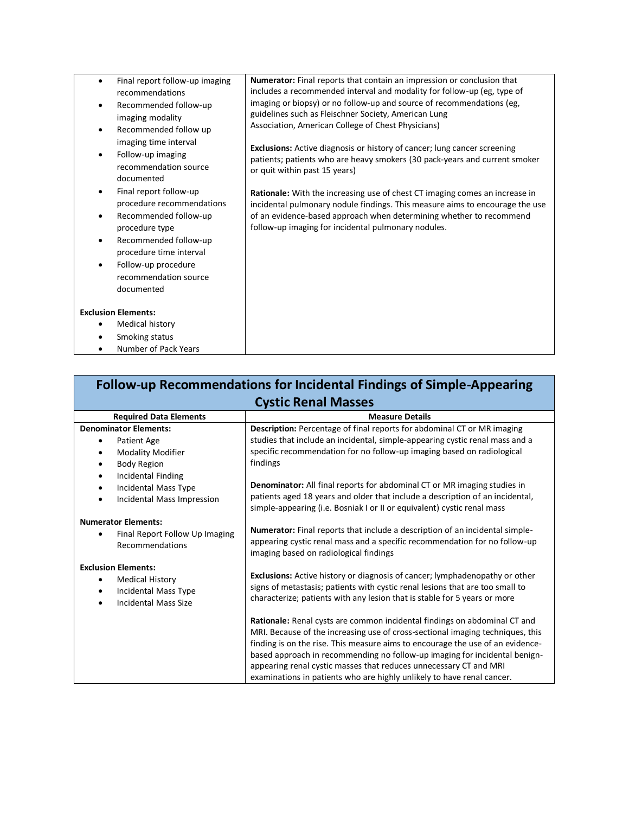| Final report follow-up imaging<br>recommendations                                                                                                                                                                                               | Numerator: Final reports that contain an impression or conclusion that<br>includes a recommended interval and modality for follow-up (eg, type of                                                                                                                                                |
|-------------------------------------------------------------------------------------------------------------------------------------------------------------------------------------------------------------------------------------------------|--------------------------------------------------------------------------------------------------------------------------------------------------------------------------------------------------------------------------------------------------------------------------------------------------|
| Recommended follow-up<br>imaging modality<br>Recommended follow up                                                                                                                                                                              | imaging or biopsy) or no follow-up and source of recommendations (eg,<br>guidelines such as Fleischner Society, American Lung<br>Association, American College of Chest Physicians)                                                                                                              |
| imaging time interval<br>Follow-up imaging<br>recommendation source<br>documented                                                                                                                                                               | <b>Exclusions:</b> Active diagnosis or history of cancer; lung cancer screening<br>patients; patients who are heavy smokers (30 pack-years and current smoker<br>or quit within past 15 years)                                                                                                   |
| Final report follow-up<br>$\bullet$<br>procedure recommendations<br>Recommended follow-up<br>٠<br>procedure type<br>Recommended follow-up<br>$\bullet$<br>procedure time interval<br>Follow-up procedure<br>recommendation source<br>documented | <b>Rationale:</b> With the increasing use of chest CT imaging comes an increase in<br>incidental pulmonary nodule findings. This measure aims to encourage the use<br>of an evidence-based approach when determining whether to recommend<br>follow-up imaging for incidental pulmonary nodules. |
| <b>Exclusion Elements:</b>                                                                                                                                                                                                                      |                                                                                                                                                                                                                                                                                                  |
| Medical history                                                                                                                                                                                                                                 |                                                                                                                                                                                                                                                                                                  |
| Smoking status                                                                                                                                                                                                                                  |                                                                                                                                                                                                                                                                                                  |
| Number of Pack Years                                                                                                                                                                                                                            |                                                                                                                                                                                                                                                                                                  |

| Follow-up Recommendations for Incidental Findings of Simple-Appearing                                                                 |                                                                                                                                                                                                                                                                                                                                                                                                                                                                            |  |  |
|---------------------------------------------------------------------------------------------------------------------------------------|----------------------------------------------------------------------------------------------------------------------------------------------------------------------------------------------------------------------------------------------------------------------------------------------------------------------------------------------------------------------------------------------------------------------------------------------------------------------------|--|--|
|                                                                                                                                       | <b>Cystic Renal Masses</b>                                                                                                                                                                                                                                                                                                                                                                                                                                                 |  |  |
| <b>Required Data Elements</b>                                                                                                         | <b>Measure Details</b>                                                                                                                                                                                                                                                                                                                                                                                                                                                     |  |  |
| <b>Denominator Elements:</b><br>Patient Age<br><b>Modality Modifier</b><br>$\bullet$<br><b>Body Region</b><br>$\bullet$               | Description: Percentage of final reports for abdominal CT or MR imaging<br>studies that include an incidental, simple-appearing cystic renal mass and a<br>specific recommendation for no follow-up imaging based on radiological<br>findings                                                                                                                                                                                                                              |  |  |
| Incidental Finding<br>$\bullet$<br>Incidental Mass Type<br>$\bullet$<br>Incidental Mass Impression<br>$\bullet$                       | Denominator: All final reports for abdominal CT or MR imaging studies in<br>patients aged 18 years and older that include a description of an incidental,<br>simple-appearing (i.e. Bosniak I or II or equivalent) cystic renal mass                                                                                                                                                                                                                                       |  |  |
| <b>Numerator Elements:</b><br>Final Report Follow Up Imaging<br>٠<br>Recommendations                                                  | Numerator: Final reports that include a description of an incidental simple-<br>appearing cystic renal mass and a specific recommendation for no follow-up<br>imaging based on radiological findings                                                                                                                                                                                                                                                                       |  |  |
| <b>Exclusion Elements:</b><br><b>Medical History</b><br>$\bullet$<br>Incidental Mass Type<br>$\bullet$<br><b>Incidental Mass Size</b> | <b>Exclusions:</b> Active history or diagnosis of cancer; lymphadenopathy or other<br>signs of metastasis; patients with cystic renal lesions that are too small to<br>characterize; patients with any lesion that is stable for 5 years or more                                                                                                                                                                                                                           |  |  |
|                                                                                                                                       | Rationale: Renal cysts are common incidental findings on abdominal CT and<br>MRI. Because of the increasing use of cross-sectional imaging techniques, this<br>finding is on the rise. This measure aims to encourage the use of an evidence-<br>based approach in recommending no follow-up imaging for incidental benign-<br>appearing renal cystic masses that reduces unnecessary CT and MRI<br>examinations in patients who are highly unlikely to have renal cancer. |  |  |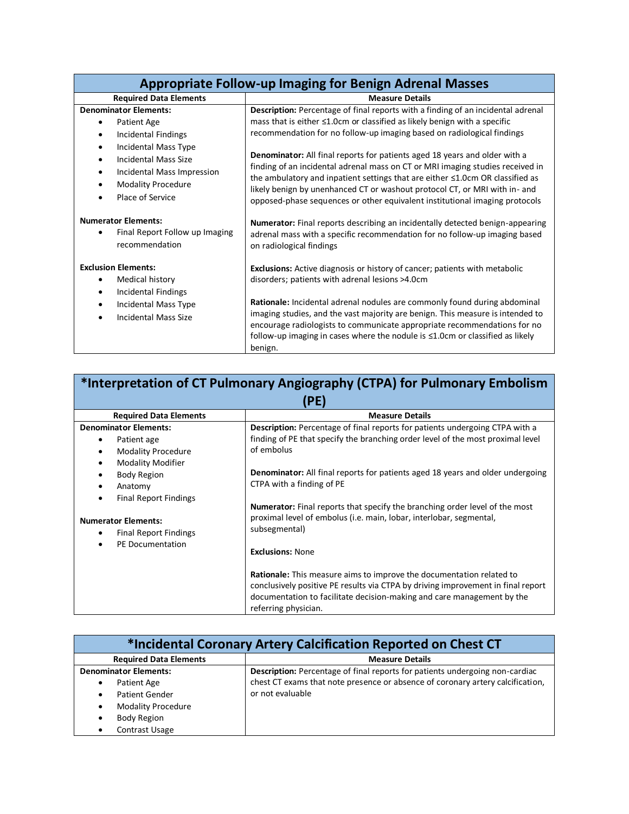| <b>Appropriate Follow-up Imaging for Benign Adrenal Masses</b>                                                                                                                                                                                  |                                                                                                                                                                                                                                                                                                                                                                                                                                                                                                                                                                                                                                                                            |
|-------------------------------------------------------------------------------------------------------------------------------------------------------------------------------------------------------------------------------------------------|----------------------------------------------------------------------------------------------------------------------------------------------------------------------------------------------------------------------------------------------------------------------------------------------------------------------------------------------------------------------------------------------------------------------------------------------------------------------------------------------------------------------------------------------------------------------------------------------------------------------------------------------------------------------------|
| <b>Required Data Elements</b>                                                                                                                                                                                                                   | <b>Measure Details</b>                                                                                                                                                                                                                                                                                                                                                                                                                                                                                                                                                                                                                                                     |
| <b>Denominator Elements:</b><br>Patient Age<br>Incidental Findings<br>$\bullet$<br>Incidental Mass Type<br><b>Incidental Mass Size</b><br>$\bullet$<br>Incidental Mass Impression<br>$\bullet$<br><b>Modality Procedure</b><br>Place of Service | <b>Description:</b> Percentage of final reports with a finding of an incidental adrenal<br>mass that is either ≤1.0cm or classified as likely benign with a specific<br>recommendation for no follow-up imaging based on radiological findings<br><b>Denominator:</b> All final reports for patients aged 18 years and older with a<br>finding of an incidental adrenal mass on CT or MRI imaging studies received in<br>the ambulatory and inpatient settings that are either $\leq 1.0$ cm OR classified as<br>likely benign by unenhanced CT or washout protocol CT, or MRI with in- and<br>opposed-phase sequences or other equivalent institutional imaging protocols |
| <b>Numerator Elements:</b><br>Final Report Follow up Imaging<br>recommendation                                                                                                                                                                  | <b>Numerator:</b> Final reports describing an incidentally detected benign-appearing<br>adrenal mass with a specific recommendation for no follow-up imaging based<br>on radiological findings                                                                                                                                                                                                                                                                                                                                                                                                                                                                             |
| <b>Exclusion Elements:</b><br>Medical history<br>Incidental Findings<br>Incidental Mass Type<br>$\bullet$<br>Incidental Mass Size                                                                                                               | <b>Exclusions:</b> Active diagnosis or history of cancer; patients with metabolic<br>disorders; patients with adrenal lesions >4.0cm<br>Rationale: Incidental adrenal nodules are commonly found during abdominal<br>imaging studies, and the vast majority are benign. This measure is intended to<br>encourage radiologists to communicate appropriate recommendations for no<br>follow-up imaging in cases where the nodule is ≤1.0cm or classified as likely<br>benign.                                                                                                                                                                                                |

| *Interpretation of CT Pulmonary Angiography (CTPA) for Pulmonary Embolism<br>(PE)                            |                                                                                                                                                                                                                                                                   |  |
|--------------------------------------------------------------------------------------------------------------|-------------------------------------------------------------------------------------------------------------------------------------------------------------------------------------------------------------------------------------------------------------------|--|
| <b>Required Data Elements</b>                                                                                | <b>Measure Details</b>                                                                                                                                                                                                                                            |  |
| <b>Denominator Elements:</b>                                                                                 | Description: Percentage of final reports for patients undergoing CTPA with a                                                                                                                                                                                      |  |
| Patient age<br>$\bullet$<br><b>Modality Procedure</b><br>$\bullet$                                           | finding of PE that specify the branching order level of the most proximal level<br>of embolus                                                                                                                                                                     |  |
| <b>Modality Modifier</b><br>$\bullet$<br><b>Body Region</b><br>٠<br>Anatomy<br>٠                             | <b>Denominator:</b> All final reports for patients aged 18 years and older undergoing<br>CTPA with a finding of PE                                                                                                                                                |  |
| <b>Final Report Findings</b><br>٠<br><b>Numerator Elements:</b><br><b>Final Report Findings</b><br>$\bullet$ | <b>Numerator:</b> Final reports that specify the branching order level of the most<br>proximal level of embolus (i.e. main, lobar, interlobar, segmental,<br>subsegmental)                                                                                        |  |
| PE Documentation                                                                                             | <b>Exclusions: None</b>                                                                                                                                                                                                                                           |  |
|                                                                                                              | <b>Rationale:</b> This measure aims to improve the documentation related to<br>conclusively positive PE results via CTPA by driving improvement in final report<br>documentation to facilitate decision-making and care management by the<br>referring physician. |  |

| *Incidental Coronary Artery Calcification Reported on Chest CT |                                                                                     |
|----------------------------------------------------------------|-------------------------------------------------------------------------------------|
| <b>Required Data Elements</b>                                  | <b>Measure Details</b>                                                              |
| <b>Denominator Elements:</b>                                   | <b>Description:</b> Percentage of final reports for patients undergoing non-cardiac |
| Patient Age<br>٠                                               | chest CT exams that note presence or absence of coronary artery calcification,      |
| <b>Patient Gender</b><br>$\bullet$                             | or not evaluable                                                                    |
| <b>Modality Procedure</b><br>٠                                 |                                                                                     |
| <b>Body Region</b><br>٠                                        |                                                                                     |
| Contrast Usage<br>$\bullet$                                    |                                                                                     |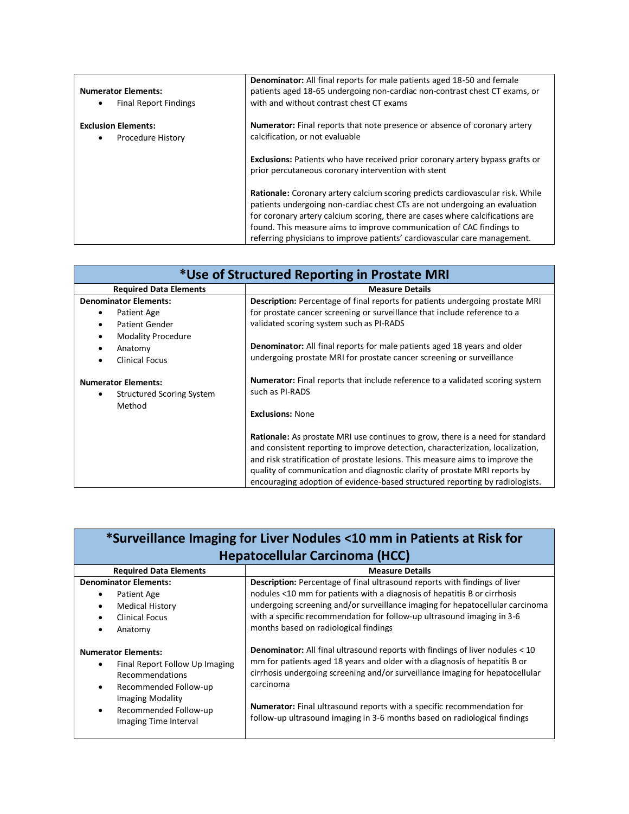| <b>Numerator Elements:</b><br><b>Final Report Findings</b> | <b>Denominator:</b> All final reports for male patients aged 18-50 and female<br>patients aged 18-65 undergoing non-cardiac non-contrast chest CT exams, or<br>with and without contrast chest CT exams                                                                                                                                                                                                   |
|------------------------------------------------------------|-----------------------------------------------------------------------------------------------------------------------------------------------------------------------------------------------------------------------------------------------------------------------------------------------------------------------------------------------------------------------------------------------------------|
| <b>Exclusion Elements:</b><br>Procedure History            | <b>Numerator:</b> Final reports that note presence or absence of coronary artery<br>calcification, or not evaluable                                                                                                                                                                                                                                                                                       |
|                                                            | <b>Exclusions:</b> Patients who have received prior coronary artery bypass grafts or<br>prior percutaneous coronary intervention with stent                                                                                                                                                                                                                                                               |
|                                                            | <b>Rationale:</b> Coronary artery calcium scoring predicts cardiovascular risk. While<br>patients undergoing non-cardiac chest CTs are not undergoing an evaluation<br>for coronary artery calcium scoring, there are cases where calcifications are<br>found. This measure aims to improve communication of CAC findings to<br>referring physicians to improve patients' cardiovascular care management. |

| *Use of Structured Reporting in Prostate MRI                                |                                                                                                                                                                                                                                                                                                                                                                                                                        |
|-----------------------------------------------------------------------------|------------------------------------------------------------------------------------------------------------------------------------------------------------------------------------------------------------------------------------------------------------------------------------------------------------------------------------------------------------------------------------------------------------------------|
| <b>Required Data Elements</b>                                               | <b>Measure Details</b>                                                                                                                                                                                                                                                                                                                                                                                                 |
| <b>Denominator Elements:</b>                                                | Description: Percentage of final reports for patients undergoing prostate MRI                                                                                                                                                                                                                                                                                                                                          |
| Patient Age<br>٠                                                            | for prostate cancer screening or surveillance that include reference to a                                                                                                                                                                                                                                                                                                                                              |
| <b>Patient Gender</b><br>$\bullet$                                          | validated scoring system such as PI-RADS                                                                                                                                                                                                                                                                                                                                                                               |
| <b>Modality Procedure</b><br>٠                                              | <b>Denominator:</b> All final reports for male patients aged 18 years and older                                                                                                                                                                                                                                                                                                                                        |
| Anatomy<br>٠                                                                | undergoing prostate MRI for prostate cancer screening or surveillance                                                                                                                                                                                                                                                                                                                                                  |
| <b>Clinical Focus</b><br>$\bullet$                                          |                                                                                                                                                                                                                                                                                                                                                                                                                        |
| <b>Numerator Elements:</b><br><b>Structured Scoring System</b><br>$\bullet$ | <b>Numerator:</b> Final reports that include reference to a validated scoring system<br>such as PI-RADS                                                                                                                                                                                                                                                                                                                |
| Method                                                                      | <b>Exclusions: None</b>                                                                                                                                                                                                                                                                                                                                                                                                |
|                                                                             | <b>Rationale:</b> As prostate MRI use continues to grow, there is a need for standard<br>and consistent reporting to improve detection, characterization, localization,<br>and risk stratification of prostate lesions. This measure aims to improve the<br>quality of communication and diagnostic clarity of prostate MRI reports by<br>encouraging adoption of evidence-based structured reporting by radiologists. |

| *Surveillance Imaging for Liver Nodules <10 mm in Patients at Risk for |
|------------------------------------------------------------------------|
| <b>Hepatocellular Carcinoma (HCC)</b>                                  |

| <b>Description:</b> Percentage of final ultrasound reports with findings of liver<br><b>Denominator Elements:</b><br>nodules <10 mm for patients with a diagnosis of hepatitis B or cirrhosis<br>Patient Age<br>٠<br><b>Medical History</b><br>$\bullet$<br>with a specific recommendation for follow-up ultrasound imaging in 3-6<br><b>Clinical Focus</b><br>$\bullet$<br>months based on radiological findings<br>Anatomy<br>٠<br><b>Denominator:</b> All final ultrasound reports with findings of liver nodules < 10<br><b>Numerator Elements:</b><br>mm for patients aged 18 years and older with a diagnosis of hepatitis B or<br>Final Report Follow Up Imaging<br>٠<br>cirrhosis undergoing screening and/or surveillance imaging for hepatocellular<br>Recommendations<br>carcinoma<br>Recommended Follow-up<br>$\bullet$<br><b>Imaging Modality</b><br><b>Numerator:</b> Final ultrasound reports with a specific recommendation for<br>Recommended Follow-up<br>$\bullet$<br>follow-up ultrasound imaging in 3-6 months based on radiological findings | <b>Required Data Elements</b> | <b>Measure Details</b>                                                        |
|--------------------------------------------------------------------------------------------------------------------------------------------------------------------------------------------------------------------------------------------------------------------------------------------------------------------------------------------------------------------------------------------------------------------------------------------------------------------------------------------------------------------------------------------------------------------------------------------------------------------------------------------------------------------------------------------------------------------------------------------------------------------------------------------------------------------------------------------------------------------------------------------------------------------------------------------------------------------------------------------------------------------------------------------------------------------|-------------------------------|-------------------------------------------------------------------------------|
|                                                                                                                                                                                                                                                                                                                                                                                                                                                                                                                                                                                                                                                                                                                                                                                                                                                                                                                                                                                                                                                                    |                               | undergoing screening and/or surveillance imaging for hepatocellular carcinoma |
|                                                                                                                                                                                                                                                                                                                                                                                                                                                                                                                                                                                                                                                                                                                                                                                                                                                                                                                                                                                                                                                                    | Imaging Time Interval         |                                                                               |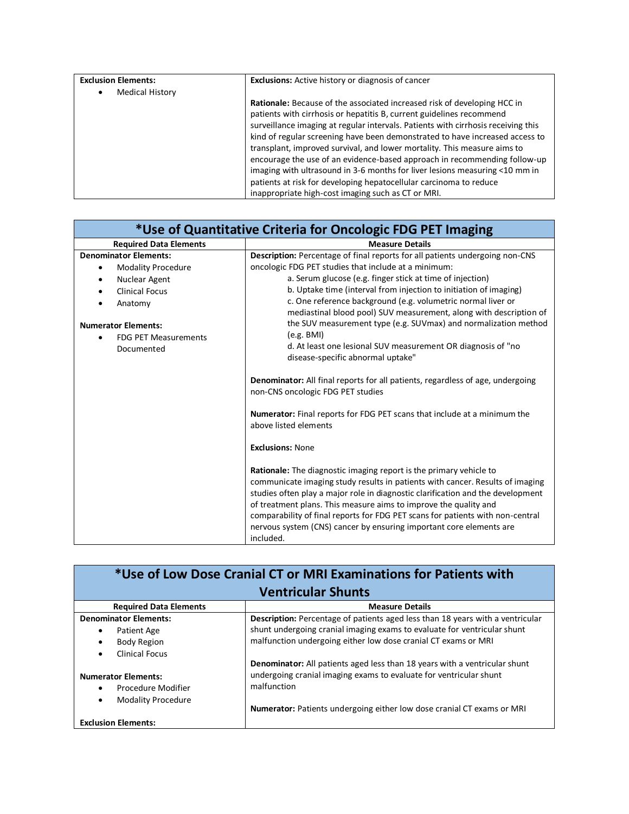| <b>Exclusion Elements:</b> | <b>Exclusions:</b> Active history or diagnosis of cancer                                                                                                                                                                                                                                                                                                                                                                                                                                                                                                                                                                                                                                         |
|----------------------------|--------------------------------------------------------------------------------------------------------------------------------------------------------------------------------------------------------------------------------------------------------------------------------------------------------------------------------------------------------------------------------------------------------------------------------------------------------------------------------------------------------------------------------------------------------------------------------------------------------------------------------------------------------------------------------------------------|
| <b>Medical History</b>     |                                                                                                                                                                                                                                                                                                                                                                                                                                                                                                                                                                                                                                                                                                  |
|                            | <b>Rationale:</b> Because of the associated increased risk of developing HCC in<br>patients with cirrhosis or hepatitis B, current guidelines recommend<br>surveillance imaging at regular intervals. Patients with cirrhosis receiving this<br>kind of regular screening have been demonstrated to have increased access to<br>transplant, improved survival, and lower mortality. This measure aims to<br>encourage the use of an evidence-based approach in recommending follow-up<br>imaging with ultrasound in 3-6 months for liver lesions measuring <10 mm in<br>patients at risk for developing hepatocellular carcinoma to reduce<br>inappropriate high-cost imaging such as CT or MRI. |

| *Use of Quantitative Criteria for Oncologic FDG PET Imaging |                                                                                                                                                                                                                                                                                                                                                                                                                                                                                         |  |
|-------------------------------------------------------------|-----------------------------------------------------------------------------------------------------------------------------------------------------------------------------------------------------------------------------------------------------------------------------------------------------------------------------------------------------------------------------------------------------------------------------------------------------------------------------------------|--|
| <b>Required Data Elements</b>                               | <b>Measure Details</b>                                                                                                                                                                                                                                                                                                                                                                                                                                                                  |  |
| <b>Denominator Elements:</b>                                | Description: Percentage of final reports for all patients undergoing non-CNS                                                                                                                                                                                                                                                                                                                                                                                                            |  |
| <b>Modality Procedure</b><br>٠                              | oncologic FDG PET studies that include at a minimum:                                                                                                                                                                                                                                                                                                                                                                                                                                    |  |
| Nuclear Agent<br>٠                                          | a. Serum glucose (e.g. finger stick at time of injection)                                                                                                                                                                                                                                                                                                                                                                                                                               |  |
| <b>Clinical Focus</b><br>$\bullet$                          | b. Uptake time (interval from injection to initiation of imaging)                                                                                                                                                                                                                                                                                                                                                                                                                       |  |
| Anatomy                                                     | c. One reference background (e.g. volumetric normal liver or<br>mediastinal blood pool) SUV measurement, along with description of                                                                                                                                                                                                                                                                                                                                                      |  |
| <b>Numerator Elements:</b>                                  | the SUV measurement type (e.g. SUVmax) and normalization method                                                                                                                                                                                                                                                                                                                                                                                                                         |  |
| <b>FDG PET Measurements</b><br>$\bullet$                    | (e.g. BMI)                                                                                                                                                                                                                                                                                                                                                                                                                                                                              |  |
| Documented                                                  | d. At least one lesional SUV measurement OR diagnosis of "no<br>disease-specific abnormal uptake"                                                                                                                                                                                                                                                                                                                                                                                       |  |
|                                                             | <b>Denominator:</b> All final reports for all patients, regardless of age, undergoing<br>non-CNS oncologic FDG PET studies                                                                                                                                                                                                                                                                                                                                                              |  |
|                                                             | <b>Numerator:</b> Final reports for FDG PET scans that include at a minimum the<br>above listed elements                                                                                                                                                                                                                                                                                                                                                                                |  |
|                                                             | <b>Exclusions: None</b>                                                                                                                                                                                                                                                                                                                                                                                                                                                                 |  |
|                                                             | <b>Rationale:</b> The diagnostic imaging report is the primary vehicle to<br>communicate imaging study results in patients with cancer. Results of imaging<br>studies often play a major role in diagnostic clarification and the development<br>of treatment plans. This measure aims to improve the quality and<br>comparability of final reports for FDG PET scans for patients with non-central<br>nervous system (CNS) cancer by ensuring important core elements are<br>included. |  |

| *Use of Low Dose Cranial CT or MRI Examinations for Patients with<br><b>Ventricular Shunts</b> |                                                                                   |  |
|------------------------------------------------------------------------------------------------|-----------------------------------------------------------------------------------|--|
|                                                                                                |                                                                                   |  |
| <b>Denominator Elements:</b>                                                                   | Description: Percentage of patients aged less than 18 years with a ventricular    |  |
| Patient Age<br>٠                                                                               | shunt undergoing cranial imaging exams to evaluate for ventricular shunt          |  |
| <b>Body Region</b><br>$\bullet$                                                                | malfunction undergoing either low dose cranial CT exams or MRI                    |  |
| <b>Clinical Focus</b><br>$\bullet$                                                             |                                                                                   |  |
|                                                                                                | <b>Denominator:</b> All patients aged less than 18 years with a ventricular shunt |  |
| <b>Numerator Elements:</b>                                                                     | undergoing cranial imaging exams to evaluate for ventricular shunt                |  |
| Procedure Modifier<br>$\bullet$                                                                | malfunction                                                                       |  |
| <b>Modality Procedure</b><br>$\bullet$                                                         |                                                                                   |  |
|                                                                                                | <b>Numerator:</b> Patients undergoing either low dose cranial CT exams or MRI     |  |
| <b>Exclusion Elements:</b>                                                                     |                                                                                   |  |